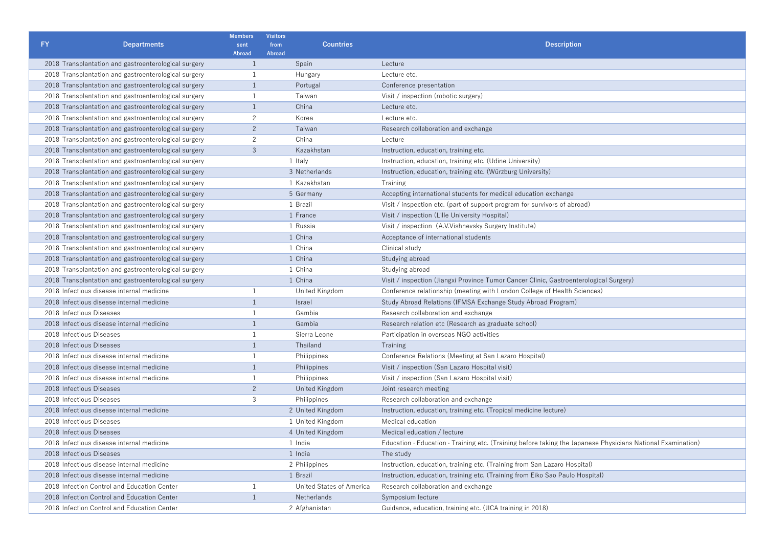| <b>FY</b><br><b>Departments</b>                      | <b>Members</b><br>sent | <b>Visitors</b><br><b>Countries</b><br>from<br>Abroad | <b>Description</b>                                                                                                      |
|------------------------------------------------------|------------------------|-------------------------------------------------------|-------------------------------------------------------------------------------------------------------------------------|
| 2018 Transplantation and gastroenterological surgery | <b>Abroad</b><br>1     | Spain                                                 | Lecture                                                                                                                 |
| 2018 Transplantation and gastroenterological surgery | 1                      | Hungary                                               | Lecture etc.                                                                                                            |
| 2018 Transplantation and gastroenterological surgery | $\mathbf{1}$           | Portugal                                              | Conference presentation                                                                                                 |
| 2018 Transplantation and gastroenterological surgery | $\mathbf{1}$           | Taiwan                                                | Visit / inspection (robotic surgery)                                                                                    |
| 2018 Transplantation and gastroenterological surgery | $\mathbf{1}$           | China                                                 | Lecture etc.                                                                                                            |
| 2018 Transplantation and gastroenterological surgery | $\overline{2}$         | Korea                                                 | Lecture etc.                                                                                                            |
| 2018 Transplantation and gastroenterological surgery | 2                      | Taiwan                                                | Research collaboration and exchange                                                                                     |
| 2018 Transplantation and gastroenterological surgery | $\overline{c}$         | China                                                 | Lecture                                                                                                                 |
| 2018 Transplantation and gastroenterological surgery | 3                      | Kazakhstan                                            | Instruction, education, training etc.                                                                                   |
| 2018 Transplantation and gastroenterological surgery |                        | 1 Italy                                               | Instruction, education, training etc. (Udine University)                                                                |
| 2018 Transplantation and gastroenterological surgery |                        | 3 Netherlands                                         | Instruction, education, training etc. (Würzburg University)                                                             |
| 2018 Transplantation and gastroenterological surgery |                        | 1 Kazakhstan                                          | Training                                                                                                                |
|                                                      |                        | 5 Germany                                             |                                                                                                                         |
| 2018 Transplantation and gastroenterological surgery |                        |                                                       | Accepting international students for medical education exchange                                                         |
| 2018 Transplantation and gastroenterological surgery |                        | 1 Brazil<br>1 France                                  | Visit / inspection etc. (part of support program for survivors of abroad)                                               |
| 2018 Transplantation and gastroenterological surgery |                        |                                                       | Visit / inspection (Lille University Hospital)                                                                          |
| 2018 Transplantation and gastroenterological surgery |                        | 1 Russia                                              | Visit / inspection (A.V.Vishnevsky Surgery Institute)                                                                   |
| 2018 Transplantation and gastroenterological surgery |                        | 1 China                                               | Acceptance of international students                                                                                    |
| 2018 Transplantation and gastroenterological surgery |                        | 1 China                                               | Clinical study                                                                                                          |
| 2018 Transplantation and gastroenterological surgery |                        | 1 China                                               | Studying abroad                                                                                                         |
| 2018 Transplantation and gastroenterological surgery |                        | 1 China                                               | Studying abroad                                                                                                         |
| 2018 Transplantation and gastroenterological surgery |                        | 1 China                                               | Visit / inspection (Jiangxi Province Tumor Cancer Clinic, Gastroenterological Surgery)                                  |
| 2018 Infectious disease internal medicine            |                        | United Kingdom                                        | Conference relationship (meeting with London College of Health Sciences)                                                |
| 2018 Infectious disease internal medicine            | $\mathbf{1}$           | Israel                                                | Study Abroad Relations (IFMSA Exchange Study Abroad Program)                                                            |
| 2018 Infectious Diseases                             | $\mathbf{1}$           | Gambia                                                | Research collaboration and exchange                                                                                     |
| 2018 Infectious disease internal medicine            | $\mathbf{1}$           | Gambia                                                | Research relation etc (Research as graduate school)                                                                     |
| 2018 Infectious Diseases                             | $\mathbf{1}$           | Sierra Leone                                          | Participation in overseas NGO activities                                                                                |
| 2018 Infectious Diseases                             | $\mathbf{1}$           | Thailand                                              | Training                                                                                                                |
| 2018 Infectious disease internal medicine            | $\mathbf{1}$           | Philippines                                           | Conference Relations (Meeting at San Lazaro Hospital)                                                                   |
| 2018 Infectious disease internal medicine            |                        | Philippines                                           | Visit / inspection (San Lazaro Hospital visit)                                                                          |
| 2018 Infectious disease internal medicine            | $\mathbf{1}$           | Philippines                                           | Visit / inspection (San Lazaro Hospital visit)                                                                          |
| 2018 Infectious Diseases                             | $\overline{2}$         | United Kingdom                                        | Joint research meeting                                                                                                  |
| 2018 Infectious Diseases                             | 3                      | Philippines                                           | Research collaboration and exchange                                                                                     |
| 2018 Infectious disease internal medicine            |                        | 2 United Kingdom                                      | Instruction, education, training etc. (Tropical medicine lecture)                                                       |
| 2018 Infectious Diseases                             |                        | 1 United Kingdom                                      | Medical education                                                                                                       |
| 2018 Infectious Diseases                             |                        | 4 United Kingdom                                      | Medical education / lecture                                                                                             |
| 2018 Infectious disease internal medicine            |                        | 1 India                                               | Education $\cdot$ Education $\cdot$ Training etc. (Training before taking the Japanese Physicians National Examination) |
| 2018 Infectious Diseases                             |                        | 1 India                                               | The study                                                                                                               |
| 2018 Infectious disease internal medicine            |                        | 2 Philippines                                         | Instruction, education, training etc. (Training from San Lazaro Hospital)                                               |
| 2018 Infectious disease internal medicine            |                        | 1 Brazil                                              | Instruction, education, training etc. (Training from Eiko Sao Paulo Hospital)                                           |
| 2018 Infection Control and Education Center          | 1                      | United States of America                              | Research collaboration and exchange                                                                                     |
| 2018 Infection Control and Education Center          | 1                      | Netherlands                                           | Symposium lecture                                                                                                       |
| 2018 Infection Control and Education Center          |                        | 2 Afghanistan                                         | Guidance, education, training etc. (JICA training in 2018)                                                              |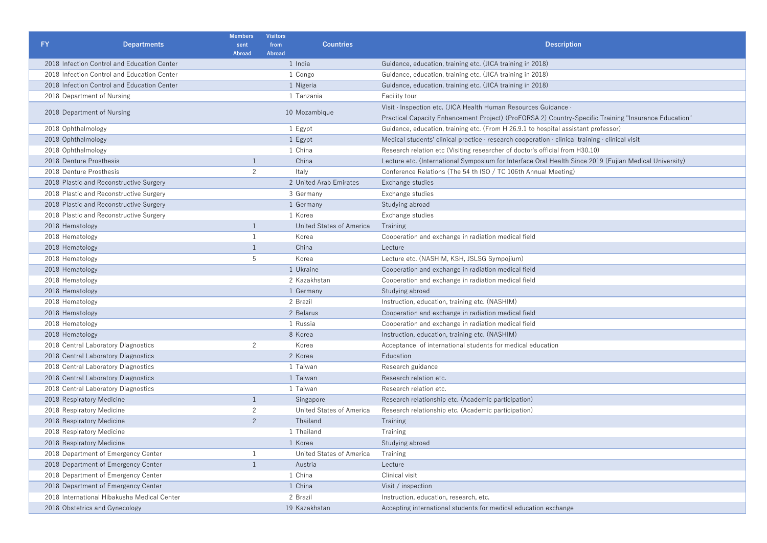| <b>FY</b><br><b>Departments</b>             | <b>Members</b><br>sent<br><b>Abroad</b> | <b>Visitors</b><br>from<br>Abroad | <b>Countries</b>         | <b>Description</b>                                                                                                |
|---------------------------------------------|-----------------------------------------|-----------------------------------|--------------------------|-------------------------------------------------------------------------------------------------------------------|
| 2018 Infection Control and Education Center |                                         | 1 India                           |                          | Guidance, education, training etc. (JICA training in 2018)                                                        |
| 2018 Infection Control and Education Center |                                         | 1 Congo                           |                          | Guidance, education, training etc. (JICA training in 2018)                                                        |
| 2018 Infection Control and Education Center |                                         | 1 Nigeria                         |                          | Guidance, education, training etc. (JICA training in 2018)                                                        |
| 2018 Department of Nursing                  |                                         | 1 Tanzania                        |                          | <b>Facility tour</b>                                                                                              |
|                                             |                                         |                                   |                          | Visit · Inspection etc. (JICA Health Human Resources Guidance ·                                                   |
| 2018 Department of Nursing                  |                                         | 10 Mozambique                     |                          | Practical Capacity Enhancement Project) (ProFORSA 2) Country-Specific Training "Insurance Education"              |
| 2018 Ophthalmology                          |                                         | 1 Egypt                           |                          | Guidance, education, training etc. (From H 26.9.1 to hospital assistant professor)                                |
| 2018 Ophthalmology                          |                                         | 1 Egypt                           |                          | Medical students' clinical practice $\cdot$ research cooperation $\cdot$ clinical training $\cdot$ clinical visit |
| 2018 Ophthalmology                          |                                         | 1 China                           |                          | Research relation etc (Visiting researcher of doctor's official from H30.10)                                      |
| 2018 Denture Prosthesis                     | $\mathbf{1}$                            |                                   | China                    | Lecture etc. (International Symposium for Interface Oral Health Since 2019 (Fujian Medical University)            |
| 2018 Denture Prosthesis                     | $\overline{2}$                          | Italy                             |                          | Conference Relations (The 54 th ISO / TC 106th Annual Meeting)                                                    |
| 2018 Plastic and Reconstructive Surgery     |                                         |                                   | 2 United Arab Emirates   | Exchange studies                                                                                                  |
| 2018 Plastic and Reconstructive Surgery     |                                         |                                   | 3 Germany                | Exchange studies                                                                                                  |
| 2018 Plastic and Reconstructive Surgery     |                                         |                                   | 1 Germany                | Studying abroad                                                                                                   |
| 2018 Plastic and Reconstructive Surgery     |                                         | 1 Korea                           |                          | Exchange studies                                                                                                  |
| 2018 Hematology                             | $\overline{1}$                          |                                   | United States of America | Training                                                                                                          |
| 2018 Hematology                             | $\mathbf{1}$                            |                                   | Korea                    | Cooperation and exchange in radiation medical field                                                               |
| 2018 Hematology                             | $\mathbf{1}$                            |                                   | China                    | Lecture                                                                                                           |
| 2018 Hematology                             | 5                                       |                                   | Korea                    | Lecture etc. (NASHIM, KSH, JSLSG Sympojium)                                                                       |
| 2018 Hematology                             |                                         |                                   | 1 Ukraine                | Cooperation and exchange in radiation medical field                                                               |
| 2018 Hematology                             |                                         |                                   | 2 Kazakhstan             | Cooperation and exchange in radiation medical field                                                               |
| 2018 Hematology                             |                                         |                                   | 1 Germany                | Studying abroad                                                                                                   |
| 2018 Hematology                             |                                         | 2 Brazil                          |                          | Instruction, education, training etc. (NASHIM)                                                                    |
| 2018 Hematology                             |                                         | 2 Belarus                         |                          | Cooperation and exchange in radiation medical field                                                               |
| 2018 Hematology                             |                                         | 1 Russia                          |                          | Cooperation and exchange in radiation medical field                                                               |
| 2018 Hematology                             |                                         | 8 Korea                           |                          | Instruction, education, training etc. (NASHIM)                                                                    |
| 2018 Central Laboratory Diagnostics         | $\overline{2}$                          |                                   | Korea                    | Acceptance of international students for medical education                                                        |
| 2018 Central Laboratory Diagnostics         |                                         | 2 Korea                           |                          | Education                                                                                                         |
| 2018 Central Laboratory Diagnostics         |                                         |                                   | 1 Taiwan                 | Research guidance                                                                                                 |
| 2018 Central Laboratory Diagnostics         |                                         |                                   | 1 Taiwan                 | Research relation etc.                                                                                            |
| 2018 Central Laboratory Diagnostics         |                                         |                                   | 1 Taiwan                 | Research relation etc.                                                                                            |
| 2018 Respiratory Medicine                   |                                         |                                   | Singapore                | Research relationship etc. (Academic participation)                                                               |
| 2018 Respiratory Medicine                   | $\overline{c}$                          |                                   | United States of America | Research relationship etc. (Academic participation)                                                               |
| 2018 Respiratory Medicine                   | 2                                       |                                   | Thailand                 | Training                                                                                                          |
| 2018 Respiratory Medicine                   |                                         |                                   | 1 Thailand               | Training                                                                                                          |
| 2018 Respiratory Medicine                   |                                         | 1 Korea                           |                          | Studying abroad                                                                                                   |
| 2018 Department of Emergency Center         |                                         |                                   | United States of America | Training                                                                                                          |
| 2018 Department of Emergency Center         | $\mathbf{1}$                            |                                   | Austria                  | Lecture                                                                                                           |
| 2018 Department of Emergency Center         |                                         | 1 China                           |                          | Clinical visit                                                                                                    |
| 2018 Department of Emergency Center         |                                         | 1 China                           |                          | Visit / inspection                                                                                                |
| 2018 International Hibakusha Medical Center |                                         | 2 Brazil                          |                          | Instruction, education, research, etc.                                                                            |
| 2018 Obstetrics and Gynecology              |                                         |                                   | 19 Kazakhstan            | Accepting international students for medical education exchange                                                   |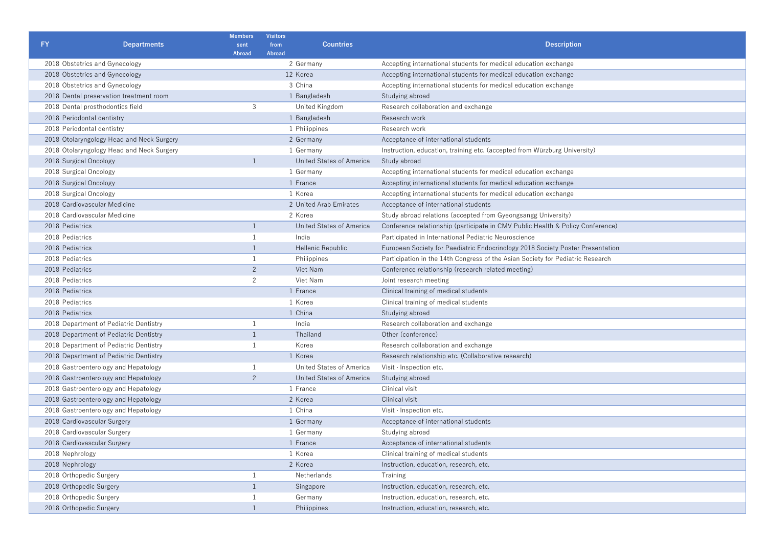| <b>FY</b>                        | <b>Departments</b>                        | <b>Members</b><br>sent | <b>Visitors</b><br>from<br><b>Countries</b> | <b>Description</b>                                                             |  |
|----------------------------------|-------------------------------------------|------------------------|---------------------------------------------|--------------------------------------------------------------------------------|--|
|                                  |                                           | <b>Abroad</b>          | Abroad                                      |                                                                                |  |
| 2018 Obstetrics and Gynecology   |                                           |                        | 2 Germany                                   | Accepting international students for medical education exchange                |  |
| 2018 Obstetrics and Gynecology   |                                           |                        | 12 Korea                                    | Accepting international students for medical education exchange                |  |
| 2018 Obstetrics and Gynecology   |                                           |                        | 3 China                                     | Accepting international students for medical education exchange                |  |
|                                  | 2018 Dental preservation treatment room   |                        | 1 Bangladesh                                | Studying abroad                                                                |  |
| 2018 Dental prosthodontics field |                                           | 3                      | United Kingdom                              | Research collaboration and exchange                                            |  |
| 2018 Periodontal dentistry       |                                           |                        | 1 Bangladesh                                | Research work                                                                  |  |
| 2018 Periodontal dentistry       |                                           |                        | 1 Philippines                               | Research work                                                                  |  |
|                                  | 2018 Otolaryngology Head and Neck Surgery |                        | 2 Germany                                   | Acceptance of international students                                           |  |
|                                  | 2018 Otolaryngology Head and Neck Surgery |                        | 1 Germany                                   | Instruction, education, training etc. (accepted from Würzburg University)      |  |
| 2018 Surgical Oncology           |                                           | $\overline{1}$         | United States of America                    | Study abroad                                                                   |  |
| 2018 Surgical Oncology           |                                           |                        | 1 Germany                                   | Accepting international students for medical education exchange                |  |
| 2018 Surgical Oncology           |                                           |                        | 1 France                                    | Accepting international students for medical education exchange                |  |
| 2018 Surgical Oncology           |                                           |                        | 1 Korea                                     | Accepting international students for medical education exchange                |  |
| 2018 Cardiovascular Medicine     |                                           |                        | 2 United Arab Emirates                      | Acceptance of international students                                           |  |
| 2018 Cardiovascular Medicine     |                                           |                        | 2 Korea                                     | Study abroad relations (accepted from Gyeongsangg University)                  |  |
| 2018 Pediatrics                  |                                           |                        | United States of America                    | Conference relationship (participate in CMV Public Health & Policy Conference) |  |
| 2018 Pediatrics                  |                                           |                        | India                                       | Participated in International Pediatric Neuroscience                           |  |
| 2018 Pediatrics                  |                                           |                        | Hellenic Republic                           | European Society for Paediatric Endocrinology 2018 Society Poster Presentation |  |
| 2018 Pediatrics                  |                                           |                        | Philippines                                 | Participation in the 14th Congress of the Asian Society for Pediatric Research |  |
| 2018 Pediatrics                  |                                           | $\overline{2}$         | Viet Nam                                    | Conference relationship (research related meeting)                             |  |
| 2018 Pediatrics                  |                                           | $\overline{2}$         | Viet Nam                                    | Joint research meeting                                                         |  |
| 2018 Pediatrics                  |                                           |                        | 1 France                                    | Clinical training of medical students                                          |  |
| 2018 Pediatrics                  |                                           |                        | 1 Korea                                     | Clinical training of medical students                                          |  |
| 2018 Pediatrics                  |                                           |                        | 1 China                                     | Studying abroad                                                                |  |
|                                  | 2018 Department of Pediatric Dentistry    | $\overline{1}$         | India                                       | Research collaboration and exchange                                            |  |
|                                  | 2018 Department of Pediatric Dentistry    | $\overline{1}$         | Thailand                                    | Other (conference)                                                             |  |
|                                  | 2018 Department of Pediatric Dentistry    | 1                      | Korea                                       | Research collaboration and exchange                                            |  |
|                                  | 2018 Department of Pediatric Dentistry    |                        | 1 Korea                                     | Research relationship etc. (Collaborative research)                            |  |
|                                  | 2018 Gastroenterology and Hepatology      | 1                      | United States of America                    | Visit · Inspection etc.                                                        |  |
|                                  | 2018 Gastroenterology and Hepatology      | $\overline{2}$         | United States of America                    | Studying abroad                                                                |  |
|                                  | 2018 Gastroenterology and Hepatology      |                        | 1 France                                    | Clinical visit                                                                 |  |
|                                  | 2018 Gastroenterology and Hepatology      |                        | 2 Korea                                     | Clinical visit                                                                 |  |
|                                  | 2018 Gastroenterology and Hepatology      |                        | 1 China                                     | Visit · Inspection etc.                                                        |  |
| 2018 Cardiovascular Surgery      |                                           |                        | 1 Germany                                   | Acceptance of international students                                           |  |
| 2018 Cardiovascular Surgery      |                                           |                        | 1 Germany                                   | Studying abroad                                                                |  |
| 2018 Cardiovascular Surgery      |                                           |                        | 1 France                                    | Acceptance of international students                                           |  |
| 2018 Nephrology                  |                                           |                        | 1 Korea                                     | Clinical training of medical students                                          |  |
| 2018 Nephrology                  |                                           |                        | 2 Korea                                     | Instruction, education, research, etc.                                         |  |
| 2018 Orthopedic Surgery          |                                           | -1                     | Netherlands                                 | Training                                                                       |  |
| 2018 Orthopedic Surgery          |                                           | 1                      | Singapore                                   | Instruction, education, research, etc.                                         |  |
| 2018 Orthopedic Surgery          |                                           | 1                      | Germany                                     | Instruction, education, research, etc.                                         |  |
| 2018 Orthopedic Surgery          |                                           | $\mathbf{1}$           | Philippines                                 | Instruction, education, research, etc.                                         |  |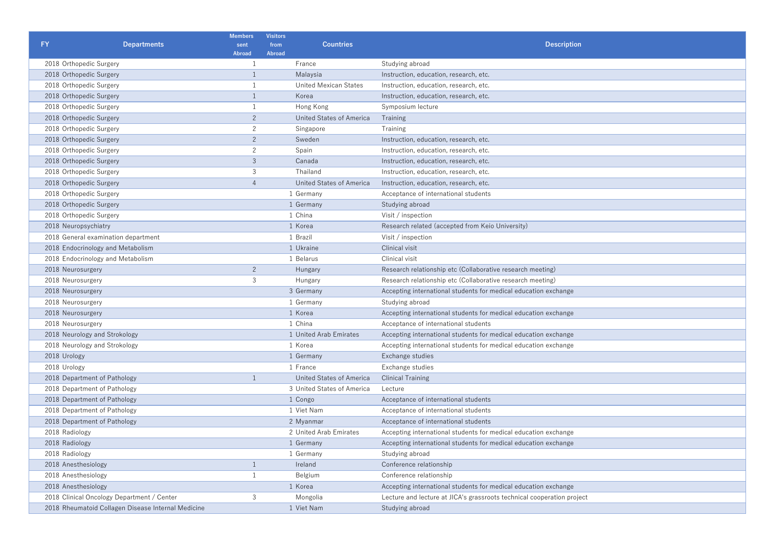| FY.                                 |                                                    | <b>Members</b>        | <b>Visitors</b><br>from | <b>Countries</b>           |                                                                        |  |
|-------------------------------------|----------------------------------------------------|-----------------------|-------------------------|----------------------------|------------------------------------------------------------------------|--|
|                                     | <b>Departments</b>                                 | sent<br><b>Abroad</b> | <b>Abroad</b>           |                            | <b>Description</b>                                                     |  |
| 2018 Orthopedic Surgery             |                                                    | 1                     |                         | France                     | Studying abroad                                                        |  |
| 2018 Orthopedic Surgery             |                                                    | $\mathbf{1}$          | Malaysia                |                            | Instruction, education, research, etc.                                 |  |
| 2018 Orthopedic Surgery             |                                                    | 1                     | United Mexican States   |                            | Instruction, education, research, etc.                                 |  |
| 2018 Orthopedic Surgery             |                                                    | $\mathbf{1}$          | Korea                   |                            | Instruction, education, research, etc.                                 |  |
| 2018 Orthopedic Surgery             |                                                    | 1                     |                         | Hong Kong                  | Symposium lecture                                                      |  |
| 2018 Orthopedic Surgery             |                                                    | $\overline{2}$        |                         | United States of America   | Training                                                               |  |
| 2018 Orthopedic Surgery             |                                                    | $\overline{c}$        |                         | Singapore                  | Training                                                               |  |
| 2018 Orthopedic Surgery             |                                                    | $\overline{2}$        |                         | Sweden                     | Instruction, education, research, etc.                                 |  |
| 2018 Orthopedic Surgery             |                                                    | $\overline{c}$        |                         | Spain                      | Instruction, education, research, etc.                                 |  |
| 2018 Orthopedic Surgery             |                                                    | $\overline{3}$        |                         | Canada                     | Instruction, education, research, etc.                                 |  |
| 2018 Orthopedic Surgery             |                                                    | 3                     |                         | Thailand                   | Instruction, education, research, etc.                                 |  |
| 2018 Orthopedic Surgery             |                                                    | $\overline{4}$        |                         | United States of America   | Instruction, education, research, etc.                                 |  |
| 2018 Orthopedic Surgery             |                                                    |                       |                         | 1 Germany                  | Acceptance of international students                                   |  |
| 2018 Orthopedic Surgery             |                                                    |                       |                         | 1 Germany                  | Studying abroad                                                        |  |
| 2018 Orthopedic Surgery             |                                                    |                       |                         | 1 China                    | Visit / inspection                                                     |  |
| 2018 Neuropsychiatry                |                                                    |                       |                         | 1 Korea                    | Research related (accepted from Keio University)                       |  |
| 2018 General examination department |                                                    |                       | 1 Brazil                |                            | Visit / inspection                                                     |  |
| 2018 Endocrinology and Metabolism   |                                                    |                       | 1 Ukraine               |                            | Clinical visit                                                         |  |
| 2018 Endocrinology and Metabolism   |                                                    |                       | 1 Belarus               |                            | Clinical visit                                                         |  |
| 2018 Neurosurgery                   |                                                    | 2                     | Hungary                 |                            | Research relationship etc (Collaborative research meeting)             |  |
| 2018 Neurosurgery                   |                                                    | 3                     | Hungary                 |                            | Research relationship etc (Collaborative research meeting)             |  |
| 2018 Neurosurgery                   |                                                    |                       | 3 Germany               |                            | Accepting international students for medical education exchange        |  |
| 2018 Neurosurgery                   |                                                    |                       |                         | 1 Germany                  | Studying abroad                                                        |  |
| 2018 Neurosurgery                   |                                                    |                       |                         | 1 Korea                    | Accepting international students for medical education exchange        |  |
| 2018 Neurosurgery                   |                                                    |                       |                         | 1 China                    | Acceptance of international students                                   |  |
| 2018 Neurology and Strokology       |                                                    |                       |                         | 1 United Arab Emirates     | Accepting international students for medical education exchange        |  |
| 2018 Neurology and Strokology       |                                                    |                       |                         | 1 Korea                    | Accepting international students for medical education exchange        |  |
| 2018 Urology                        |                                                    |                       | 1 Germany               |                            | Exchange studies                                                       |  |
| 2018 Urology                        |                                                    |                       | 1 France                |                            | Exchange studies                                                       |  |
| 2018 Department of Pathology        |                                                    | $\mathbf{1}$          |                         | United States of America   | <b>Clinical Training</b>                                               |  |
| 2018 Department of Pathology        |                                                    |                       |                         | 3 United States of America | Lecture                                                                |  |
| 2018 Department of Pathology        |                                                    |                       |                         | 1 Congo                    | Acceptance of international students                                   |  |
| 2018 Department of Pathology        |                                                    |                       |                         | 1 Viet Nam                 | Acceptance of international students                                   |  |
| 2018 Department of Pathology        |                                                    |                       |                         | 2 Myanmar                  | Acceptance of international students                                   |  |
| 2018 Radiology                      |                                                    |                       |                         | 2 United Arab Emirates     | Accepting international students for medical education exchange        |  |
| 2018 Radiology                      |                                                    |                       |                         | 1 Germany                  | Accepting international students for medical education exchange        |  |
| 2018 Radiology                      |                                                    |                       |                         | 1 Germany                  | Studying abroad                                                        |  |
| 2018 Anesthesiology                 |                                                    | $\mathbf{1}$          | Ireland                 |                            | Conference relationship                                                |  |
| 2018 Anesthesiology                 |                                                    | 1                     |                         | Belgium                    | Conference relationship                                                |  |
| 2018 Anesthesiology                 |                                                    |                       |                         | 1 Korea                    | Accepting international students for medical education exchange        |  |
|                                     | 2018 Clinical Oncology Department / Center         | 3                     |                         | Mongolia                   | Lecture and lecture at JICA's grassroots technical cooperation project |  |
|                                     | 2018 Rheumatoid Collagen Disease Internal Medicine |                       |                         | 1 Viet Nam                 | Studying abroad                                                        |  |